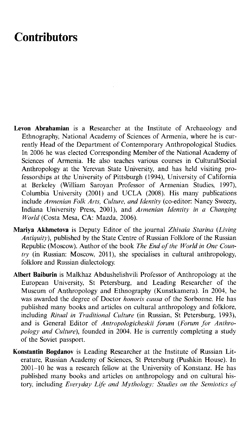## **Contributors**

- Levon Abrahamian is a Researcher at the Institute of Archaeology and Ethnography, National Academy of Sciences of Armenia, where he is currently Head of the Department of Contemporary Anthropological Studies. In 2006 he was elected Corresponding Member of the National Academy of Sciences of Armenia. He also teaches various courses in Cultural/Social Anthropology at the Yerevan State University, and has held visiting professorships at the University of Pittsburgh (1994), University of California at Berkeley (William Saroyan Professor of Armenian Studies, 1997), Columbia University (2001) and UCLA (2008). His many publications include Armenian Folk Arts, Culture, and Identity (co-editor: Nancy Sweezy, Indiana University Press, 2001), and *Armenian Identity in a Changing World* (Costa Mesa, CA: Mazda, 2006).
- Mariya Akhmetova is Deputy Editor of the journal *Zhivaia Starina* (Living *Antiquity*), published by the State Centre of Russian Folklore of the Russian Republic (Moscow). Author of the book *The End of the World in One Coun* $trv$  (in Russian: Moscow, 2011), she specialises in cultural anthropology, folklore and Russian dialectology.
- Albert Baiburin is Malkhaz Abdushelishvili Professor of Anthropology at the European University, St Petersburg, and Leading Researcher of the Museum of Anthropology and Ethnography (Kunstkamera). In 2004, he was awarded the degree of Doctor *honoris causa* of the Sorbonne. He has published many books and articles on cultural anthropology and folklore, including *Ritual in Traditional Culture* (in Russian, St Petersburg, 1993), and is General Editor of *Antropologicheskii forum (Forum for Anthropology and Culture),* founded in 2004. He is currently completing a study of the Soviet passport.
- Konstantin Bogdanov is Leading Researcher at the Institute of Russian Literature, Russian Academy of Sciences, St Petersburg (Pushkin House). In  $2001-10$  he was a research fellow at the University of Konstanz. He has published many books and articles on anthropology and on cultural history, including *Everyday Life and Mythology: Studies on the Semiotics of*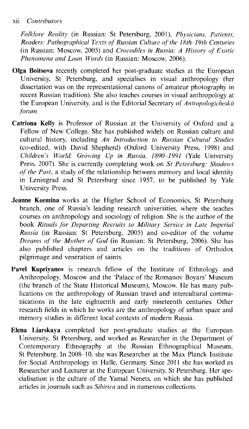## xii *Contributors*

*Folklore Reality* (in Russian: St Petersburg, 2001), *Physicians, Patients, Readers: Pathographical Texts of Russian Culture of the 18th-19th Centuries* (in Russian: Moscow, 2005) and *Crocodiles in Russia: A History of Exotic Phenomena and Loan Words* (in Russian: Moscow, 2006).

- Olga Boitsova recently completed her post-graduate studies at the European University, St Petersburg, and specialises in visual anthropology (her dissertation was on the representational canons of amateur photography in recent Russian tradition). She also teaches courses in visual anthropology at the European University, and is the Editorial Secretary of *Antropologicheskii forum .*
- Catriona Kelly is Professor of Russian at the University of Oxford and a Fellow of New College. She has published widely on Russian culture and cultural history, including *An Introduction to Russian Cultural Studies* (co-edited, with David Shepherd) (Oxford University Press, 1998) and *Children's World: Growing Up in Russia, 1890-1991* (Yale University Press, 2007). She is currently completing work on *St Petersburg: Shadows of the Past*, a study of the relationship between memory and local identity in Leningrad and St Petersburg since 1957, to be published by Yale University Press.
- Jeanne Kormina works at the Higher School of Economics, St Petersburg branch, one of Russia's leading research universities, where she teaches courses on anthropology and sociology of religion. She is the author of the book *Rituals for Departing Recruits to Military Service in Late Imperial Russia* (in Russian: St Petersburg, 2005) and co-editor of the volume *Dreams of the Mother of God* (in Russian: St Petersburg, 2006). She has also published chapters and articles on the traditions of Orthodox pilgrimage and veneration of saints.
- Pavel Kupriyanov is research fellow of the Institute of Ethnology and Anthropology, Moscow and the 'Palace of the Romanov Boyars' Museum (the branch of the State Historical Museum), Moscow. He has many publications on the anthropology of Russian travel and intercultural communications in the late eighteenth and early nineteenth centuries. Other research fields in which he works are the anthropology of urban space and memory studies in different local contexts of modern Russia.
- Elena Liarskaya completed her post-graduate studies at the European University, St Petersburg, and worked as Researcher in the Department of Contemporary Ethnography at the Russian Ethnographical Museum, St Petersburg. In 2008-10, she was Researcher at the Max Planck Institute for Social Anthropology in Halle, Germany. Since 2011 she has worked as Researcher and Lecturer at the European University, St Petersburg. Her specialisation is the culture of the Yamal Nenets, on which she has published articles in journals such as *Sibirica* and in numerous collections.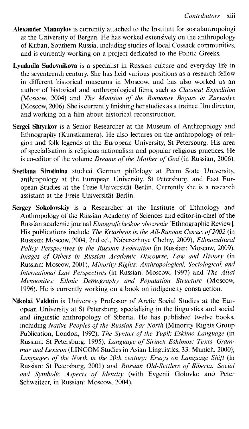- Alexander Manuylov is currently attached to the Institutt for sosialantropologi at the University of Bergen. He has worked extensively on the anthropology of Kuban, Southern Russia, including studies of local Cossack communities, and is currently working on a project dedicated to the Pontic Greeks.
- Lyudmila Sadovnikova is a specialist in Russian culture and everyday life in the seventeenth century. She has held various positions as a research fellow in different historical museums in Moscow, and has also worked as an author of historical and anthropological films, such as *Classical Expedition* (Moscow, 2004) and *The Mansion of the Romanov Boyars in Zaryadye* (Moscow, 2006). She is currently finishing her studies as a trainee film director, and working on a film about historical reconstruction.
- Sergei Shtyrkov is a Senior Researcher at the Museum of Anthropology and Ethnography (Kunstkamera). He also lectures on the anthropology of religion and folk legends at the European University, St Petersburg. His area  $\overline{\text{of}}$  specialisation is religious nationalism and popular religious practices. He is co-editor of the volume *Dreams of the Mother of God* (in Russian, 2006).
- Svetlana Sirotinina studied German philology at Perm State University, anthropology at the European University, St Petersburg, and East European Studies at the Freie U niversität Berlin. C urrently she is a research assistant at the Freie Universität Berlin.
- Sergey Sokolovskiy is a Researcher at the Institute of Ethnology and Anthropology of the Russian Academy of Sciences and editor-in-chief of the Russian academic journal *Etnograficheskoe obozrenie* [Ethnographic Review]. His publications include *The Kriashens in the All-Russian Census of 2002* (in Russian: M oscow, 2004, 2nd ed., N aberezhnye Chelny, 2009), *Ethnocultural Policy Perspectives in the Russian Federation* (in Russian: Moscow, 2009), *Images of Others in Russian Academic Discourse, Law and History* (in Russian: M oscow, 2001), *M inority Rights: Anthropological, Sociological, and International Law Perspectives* (in Russian: Moscow, 1997) and *The Altai Mennonites: Ethnic Demography and Population Structure* (Moscow, 1996). He is currently working on a book on indigeneity construction.
- Nikolai Vakhtin is University Professor of Arctic Social Studies at the European University at St Petersburg, specialising in the linguistics and social and linguistic anthropology of Siberia. He has published twelve books, including *Native Peoples of the Russian Far North* (Minority Rights Group Publication, London, 1992), *The Syntax of the Yupik Eskimo Language* (in Russian: St Petersburg, 1995), *Language of Sirinek Eskimos: Texts, Grammar and Lexicon* (LINCOM Studies in Asian Linguistics, 33: Munich, 2000), Languages of the North in the 20th century: Essays on Language Shift (in Russian: St Petersburg, 2001) and *Russian Old-Settlers of Siberia: Social* and Symbolic Aspects of Identity (with Evgenii Golovko and Peter Schweitzer, in Russian: Moscow, 2004).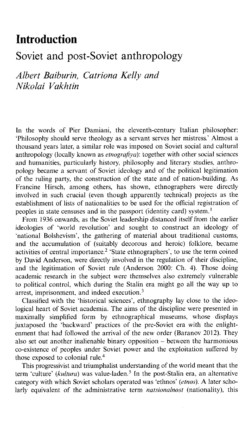## **Introduction**

## Soviet and post-Soviet anthropology

*Albert Baiburin, Catriona Kelly and Nikolai Vakhtin*

In the words of Pier Damiani, the eleventh-century Italian philosopher: 'Philosophy should serve theology as a servant serves her mistress.' Almost a thousand years later, a similar role was imposed on Soviet social and cultural anthropology (locally known as *etnografiya*): together with other social sciences and humanities, particularly history, philosophy and literary studies, anthropology became a servant of Soviet ideology and of the political legitimation of the ruling party, the construction of the state and of nation-building. As Francine Hirsch, among others, has shown, ethnographers were directly involved in such crucial (even though apparently technical) projects as the establishment of lists of nationalities to be used for the official registration of peoples in state censuses and in the passport (identity card) system.<sup>1</sup>

From 1936 onwards, as the Soviet leadership distanced itself from the earlier ideologies of 'world revolution' and sought to construct an ideology of 'national Bolshevism', the gathering of material about traditional customs, and the accumulation of (suitably decorous and heroic) folklore, became activities of central importance.<sup>2</sup> 'State ethnographers', to use the term coined by David Anderson, were directly involved in the regulation of their discipline, and the legitimation of Soviet rule (Anderson 2000: Ch. 4). Those doing academic research in the subject were themselves also extremely vulnerable to political control, which during the Stalin era might go all the way up to arrest, imprisonment, and indeed execution. $3$ 

Classified with the 'historical sciences', ethnography lay close to the ideological heart of Soviet academia. The aims of the discipline were presented in maximally simplified form by ethnographical museums, whose displays juxtaposed the 'backward' practices of the pre-Soviet era with the enlightenment that had followed the arrival of the new order (Baranov 2012). They also set out another inalienable binary opposition  $-$  between the harmonious co-existence of peoples under Soviet power and the exploitation suffered by those exposed to colonial rule.4

This progressivist and triumphalist understanding of the world meant that the term 'culture' (*kultura*) was value-laden.<sup>5</sup> In the post-Stalin era, an alternative category with which Soviet scholars operated was 'ethnos' (*etnos*). A later scholarly equivalent of the administrative term *natsionalnost* (nationality), this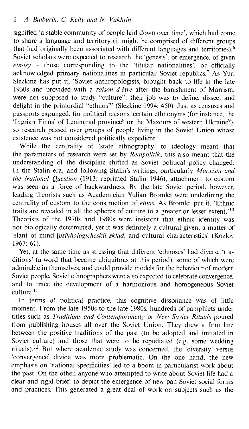signified 'a stable community of people laid down over time', which had come to share a language and territory (it might be comprised of different groups that had originally been associated with different languages and territories).<sup>6</sup> Soviet scholars were expected to research the 'genesis', or emergence, of given  $etnosy$  - those corresponding to the 'titular nationalities', or officially acknowledged primary nationalities in particular Soviet republics.<sup>7</sup> As Yuri Slezkine has put it, 'Soviet anthropologists, brought back to life in the late 1930s and provided with a *raison d'être* after the banishment of Marrism, were not supposed to study "culture": their job was to define, dissect and delight in the primordial "ethnos"' (Slezkine 1994: 450). Just as censuses and passports expunged, for political reasons, certain ethnonyms (for instance, the  $\cdot$ Ingrian Finns' of Leningrad province<sup>8</sup> or the Mazours of western Ukraine<sup>9</sup>), so research passed over groups of people living in the Soviet Union whose existence was not considered politically expedient.

While the centrality of 'state ethnography' to ideology meant that the parameters of research were set by *Realpolitik*, this also meant that the understanding of the discipline shifted as Soviet political policy changed. In the Stalin era, and following Stalin's writings, particularly *Marxism and the National Question* (1913: reprinted Stalin 1946), attachment to custom was seen as a force of backwardness. By the late Soviet period, however, leading theorists such as Academician Yulian Bromlei were underlining the centrality of custom to the construction of *etnos*. As Bromlei put it, 'Ethnic traits are revealed in all the spheres of culture to a greater or lesser extent.<sup>'10</sup> Theorists of the 1970s and 1980s were insistent that ethnic identity was not biologically determined, yet it was definitely a cultural given, a matter of 'slant of mind *[psikhologicheskii sklad*] and cultural characteristics' (Kozlov 1967: 61).

Yet, at the same time as stressing that different 'ethnoses' had diverse 'traditions' (a word that became ubiquitous at this period), some of which were admirable in themselves, and could provide models for the behaviour of modern Soviet people, Soviet ethnographers were also expected to celebrate convergence, and to trace the development of a harmonious and homogeneous Soviet culture.<sup>11</sup>

In terms of political practice, this cognitive dissonance was of little moment. From the late 1950s to the late 1980s, hundreds of pamphlets under titles such as *Traditions and Contem poraneity* or *N ew Soviet Rituals* poured from publishing houses all over the Soviet Union. They drew a firm line between the positive traditions of the past (to be adopted and imitated in Soviet culture) and those that were to be repudiated (e.g. some wedding rituals).<sup>12</sup> But where academic study was concerned, the 'diversity' versus 'convergence' divide was more problematic. On the one hand, the new emphasis on 'national specificities' led to a boom in particularist work about the past. On the other, anyone who attempted to write about Soviet life had a clear and rigid brief: to depict the emergence of new pan-Soviet social forms and practices. This generated a great deal of work on subjects such as the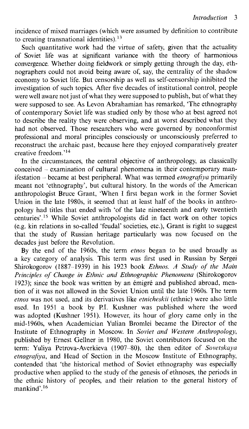incidence of mixed marriages (which were assumed by definition to contribute to creating transnational identities).<sup>13</sup>

Such quantitative work had the virtue of safety, given that the actuality of Soviet life was at significant variance with the theory of harmonious convergence. Whether doing fieldwork or simply getting through the day, ethnographers could not avoid being aware of, say, the centrality of the shadow economy to Soviet life. But censorship as well as self-censorship inhibited the investigation of such topics. After five decades of institutional control, people were well aware not just of what they were supposed to publish, but of what they were supposed to see. As Levon Abrahamian has remarked, 'The ethnography of contemporary Soviet life was studied only by those who at best agreed not to describe the reality they were observing, and at worst described what they had not observed. Those researchers who were governed by nonconformist professional and moral principles consciously or unconsciously preferred to reconstruct the archaic past, because here they enjoyed com paratively greater creative freedom.'<sup>14</sup>

In the circum stances, the central objective of anthropology, as classically conceived - examination of cultural phenomena in their contemporary manifestation – became at best peripheral. What was termed *etnografiya* primarily meant not 'ethnography', but cultural history. In the words of the American anthropologist Bruce Grant, 'When I first began work in the former Soviet Union in the late 1980s, it seemed that at least half of the books in anthropology had titles that ended with 'of the late nineteenth and early twentieth centuries'.<sup>15</sup> While Soviet anthropologists did in fact work on other topics (e.g. kin relations in so-called 'feudal' societies, etc.), Grant is right to suggest that the study of Russian heritage particularly was now focused on the decades just before the Revolution.

By the end of the 1960s, the term *etnos* began to be used broadly as a key category of analysis. This term was first used in Russian by Sergei Shirokogorov (1887-1939) in his 1923 book *Ethnos. A Study of the Main Principles of Change in Ethnic and Ethnographic Phenomena* (Shirokogorov 1923); since the book was written by an émigré and published abroad, mention of it was not allowed in the Soviet Union until the late 1960s. The term etnos was not used, and its derivatives like *etnicheskii* (ethnic) were also little used. In 1951 a book by P.I. Kushner was published where the word was adopted (Kushner 1951). However, its hour of glory came only in the mid-1960s, when Academician Yulian Bromlei became the Director of the Institute of Ethnography in Moscow. In *Soviet and Western Anthropology*, published by Ernest Gellner in 1980, the Soviet contributors focused on the term: Yuliya Petrova-Averkieva (1907-80), the then editor of *Sovetskaya* etnografiya, and Head of Section in the Moscow Institute of Ethnography, contended that 'the historical method of Soviet ethnography was especially productive when applied to the study of the genesis of ethnoses, the periods in the ethnic history of peoples, and their relation to the general history of mankind'.<sup>16</sup>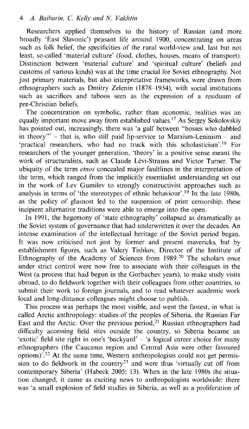Researchers applied themselves to the history of Russian (and more broadly 'East Slavonic') peasant life around 1900, concentrating on areas such as folk belief, the specificities of the rural world-view and, last but not least, so-called 'material culture' (food, clothes, houses, means of transport). Distinction between 'material culture' and 'spiritual culture' (beliefs and customs of various kinds) was at the time crucial for Soviet ethnography. Not just primary materials, but also interpretative frameworks, were drawn from ethnographers such as Dmitry Zelenin (1878–1954), with social institutions such as sacrifices and taboos seen as the expression of a residuum of pre-Christian beliefs.

The concentration on symbolic, rather than economic, realities was an equally important move away from established values.<sup>17</sup> As Sergey Sokolovskiy has pointed out, increasingly, there was 'a gulf between "bosses who dabbled in theory"  $-$  that is, who still paid lip-service to Marxism-Leninism  $-$  and 'practical researchers, who had no truck with this scholasticism'.<sup>18</sup> For researchers of the younger generation, 'theory' in a positive sense meant the work of structuralists, such as Claude Lévi-Strauss and Victor Turner. The ubiquity of the term *etnos* concealed major faultlines in the interpretation of the term, which ranged from the implicitly essentialist understanding set out in the work of Lev Gumilev to strongly constructivist approaches such as analysis in terms of 'the stereotypes of ethnic behaviour'.<sup>19</sup> In the late 1980s, as the policy of glasnost led to the suspension of print censorship, these incipient alternative traditions were able to emerge into the open.

In 1991, the hegemony of 'state ethnography' collapsed as dramatically as the Soviet system of governance that had underwritten it over the decades. An intense examination of the intellectual heritage of the Soviet period began. It was now criticised not just by former and present mavericks, but by establishment figures, such as Valery Tishkov, Director of the Institute of Ethnography of the Academy of Sciences from 1989.<sup>20</sup> The scholars once under strict control were now free to associate with their colleagues in the West (a process that had begun in the Gorbachev years), to make study visits abroad, to do fieldwork together with their colleagues from other countries, to submit their work to foreign journals, and to read whatever academic work local and long-distance colleagues might choose to publish.

This process was perhaps the most visible, and went the fastest, in what is called Arctic anthropology: studies of the peoples of Siberia, the Russian Far East and the Arctic. Over the previous period,<sup>21</sup> Russian ethnographers had difficulty accessing field sites outside the country, so Siberia became an 'exotic' field site right in one's 'backyard' - 'a logical career choice for many ethnographers (the Caucasus region and Central Asia were other favoured options)<sup> $22$ </sup> At the same time, Western anthropologists could not get permission to do fieldwork in the country<sup>23</sup> and were thus 'virtually cut off from contemporary Siberia' (Habeck 2005: 13). When in the late 1980s the situation changed, it came as exciting news to anthropologists worldwide: there was 'a small explosion of field studies in Siberia, as well as a proliferation of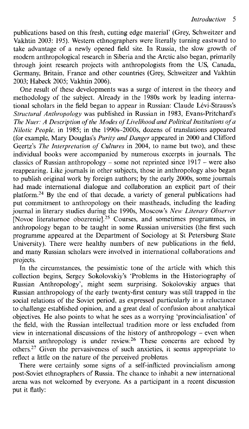publications based on this fresh, cutting edge material' (Grey, Schweitzer and Vakhtin 2003: 195). Western ethnographers were literally turning eastward to take advantage of a newly opened field site. In Russia, the slow growth of modern anthropological research in Siberia and the Arctic also began, primarily through joint research projects with anthropologists from the US, Canada, Germany, Britain, France and other countries (Grey, Schweitzer and Vakhtin 2003: Habeck 2005: Vakhtin 2006).

One result of these developments was a surge of interest in the theory and methodology of the subject. Already in the 1980s work by leading international scholars in the field began to appear in Russian: Claude Lévi-Strauss's *Structural Anthropology* was published in Russian in 1983, Evans-Pritchard's *The Nuer: A Description of the Modes of Livelihood and Political Institutions of a Nilotic People*, in 1985; in the 1990s-2000s, dozens of translations appeared (for example, Mary Douglas's *Purity and Danger* appeared in 2000 and Clifford Geertz's *The Interpretation of Cultures* in 2004, to name but two), and these individual books were accompanied by numerous excerpts in journals. The classics of Russian anthropology – some not reprinted since  $1917$  – were also reappearing. Like journals in other subjects, those in anthropology also began to publish original work by foreign authors; by the early 2000s, some journals had made international dialogue and collaboration an explicit part of their platform.<sup>24</sup> By the end of that decade, a variety of general publications had put commitment to anthropology on their mastheads, including the leading journal in literary studies during the 1990s, Moscow's *New Literary Observer* [Novoe literaturnoe obozrenie].<sup>25</sup> Courses, and sometimes programmes, in anthropology began to be taught in some Russian universities (the first such programme appeared at the Department of Sociology at St Petersburg State University). There were healthy numbers of new publications in the field, and many Russian scholars were involved in international collaborations and projects.

In the circum stances, the pessimistic tone of the article with which this collection begins, Sergey Sokolovskiy's 'Problems in the Historiography of Russian Anthropology', might seem surprising. Sokolovskiy argues that Russian anthropology of the early twenty-first century was still trapped in the social relations of the Soviet period, as expressed particularly in a reluctance to challenge established opinion, and a great deal of confusion about analytical objectives. He also points to what he sees as a worrying 'provincialisation' of the field, with the Russian intellectual tradition more or less excluded from view in international discussions of the history of anthropology – even when Marxist anthropology is under review.<sup>26</sup> These concerns are echoed by others.<sup>27</sup> Given the pervasiveness of such anxieties, it seems appropriate to reflect a little on the nature of the perceived problems.

There were certainly some signs of a self-inflicted provincialism among post-Soviet ethnographers of Russia. The chance to inhabit a new international arena was not welcomed by everyone. As a participant in a recent discussion put it flatly: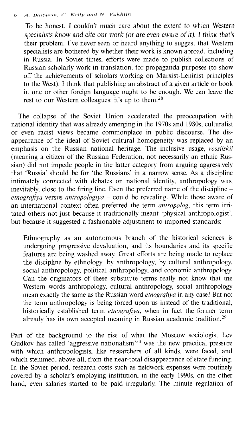To be honest, I couldn't much care about the extent to which Western specialists know and cite our work (or are even aware of it). I think that's their problem. I've never seen or heard anything to suggest that Western specialists are bothered by whether their work is known abroad, including in Russia. In Soviet times, efforts were made to publish collections of Russian scholarly work in translation, for propaganda purposes (to show off the achievements of scholars working on Marxist-Leninist principles to the West). I think that publishing an abstract of a given article or book in one or other foreign language ought to be enough. We can leave the rest to our Western colleagues: it's up to them.<sup>28</sup>

The collapse of the Soviet Union accelerated the preoccupation with national identity that was already emerging in the 1970s and 1980s; culturalist or even racist views became commonplace in public discourse. The disappearance of the ideal of Soviet cultural homogeneity was replaced by an emphasis on the Russian national heritage. The inclusive usage, *rossiiskii* (meaning a citizen of the Russian Federation, not necessarily an ethnic Russian) did not impede people in the latter category from arguing aggressively that 'Russia' should be for 'the Russians' in a narrow sense. As a discipline intimately connected with debates on national identity, anthropology was, inevitably, close to the firing line. Even the preferred name of the discipline *etnografiya* versus *antropologiya -* could be revealing. W hile those aware of an international context often preferred the term *antropolog,* this term irrian incrementational centers even preceded and term and plays, and term are tated others not just because it traditionally meant 'physical anthropologist', but because it suggested a fashionable adjustment to imported standards:

Ethnography as an autonomous branch of the historical sciences is undergoing progressive devaluation, and its boundaries and its specific features are being washed away. Great efforts are being made to replace the discipline by ethnology, by anthropology, by cultural anthropology, social anthropology, political anthropology, and economic anthropology. Can the originators of these substitute terms really not know that the Western words anthropology, cultural anthropology, social anthropology mean exactly the same as the Russian word *etnografiya* in any case? But no: the term anthropology is being forced upon us instead of the traditional, historically established term *etnografiya*, when in fact the former term already has its own accepted meaning in Russian academic tradition.<sup>29</sup>

Part of the background to the rise of what the Moscow sociologist Lev Gudkov has called 'aggressive nationalism'<sup>30</sup> was the new practical pressure with which anthropologists, like researchers of all kinds, were faced, and which stemmed, above all, from the near-total disappearance of state funding. In the Soviet period, research costs such as fieldwork expenses were routinely covered by a scholar's employing institution; in the early 1990s, on the other hand, even salaries started to be paid irregularly. The minute regulation of